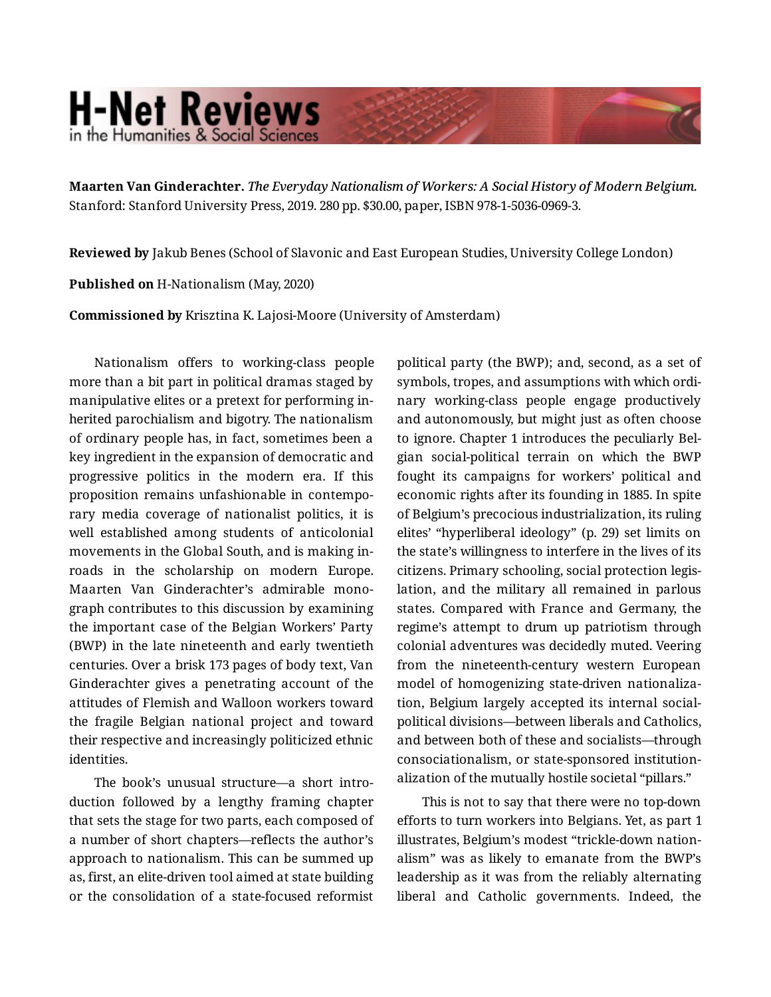## **H-Net Reviews** in the Humanities & Social Scienc

**Maarten Van Ginderachter.** *The Everyday Nationalism of Workers: A Social History of Modern Belgium.*  Stanford: Stanford University Press, 2019. 280 pp. \$30.00, paper, ISBN 978-1-5036-0969-3.

**Reviewed by** Jakub Benes (School of Slavonic and East European Studies, University College London)

**Published on** H-Nationalism (May, 2020)

**Commissioned by** Krisztina K. Lajosi-Moore (University of Amsterdam)

Nationalism offers to working-class people more than a bit part in political dramas staged by manipulative elites or a pretext for performing in‐ herited parochialism and bigotry. The nationalism of ordinary people has, in fact, sometimes been a key ingredient in the expansion of democratic and progressive politics in the modern era. If this proposition remains unfashionable in contempo‐ rary media coverage of nationalist politics, it is well established among students of anticolonial movements in the Global South, and is making in‐ roads in the scholarship on modern Europe. Maarten Van Ginderachter's admirable mono‐ graph contributes to this discussion by examining the important case of the Belgian Workers' Party (BWP) in the late nineteenth and early twentieth centuries. Over a brisk 173 pages of body text, Van Ginderachter gives a penetrating account of the attitudes of Flemish and Walloon workers toward the fragile Belgian national project and toward their respective and increasingly politicized ethnic identities.

The book's unusual structure—a short intro‐ duction followed by a lengthy framing chapter that sets the stage for two parts, each composed of a number of short chapters—reflects the author's approach to nationalism. This can be summed up as, first, an elite-driven tool aimed at state building or the consolidation of a state-focused reformist political party (the BWP); and, second, as a set of symbols, tropes, and assumptions with which ordi‐ nary working-class people engage productively and autonomously, but might just as often choose to ignore. Chapter 1 introduces the peculiarly Bel‐ gian social-political terrain on which the BWP fought its campaigns for workers' political and economic rights after its founding in 1885. In spite of Belgium's precocious industrialization, its ruling elites' "hyperliberal ideology" (p. 29) set limits on the state's willingness to interfere in the lives of its citizens. Primary schooling, social protection legis‐ lation, and the military all remained in parlous states. Compared with France and Germany, the regime's attempt to drum up patriotism through colonial adventures was decidedly muted. Veering from the nineteenth-century western European model of homogenizing state-driven nationaliza‐ tion, Belgium largely accepted its internal socialpolitical divisions—between liberals and Catholics, and between both of these and socialists—through consociationalism, or state-sponsored institution‐ alization of the mutually hostile societal "pillars."

This is not to say that there were no top-down efforts to turn workers into Belgians. Yet, as part 1 illustrates, Belgium's modest "trickle-down nation‐ alism" was as likely to emanate from the BWP's leadership as it was from the reliably alternating liberal and Catholic governments. Indeed, the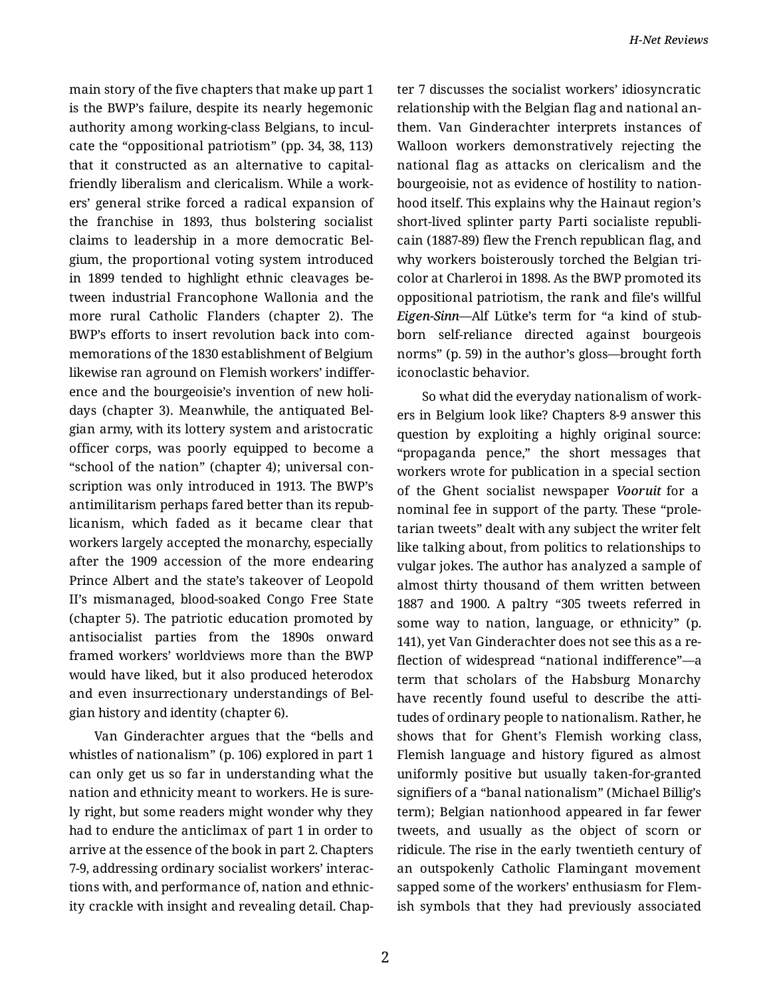main story of the five chapters that make up part 1 is the BWP's failure, despite its nearly hegemonic authority among working-class Belgians, to incul‐ cate the "oppositional patriotism" (pp. 34, 38, 113) that it constructed as an alternative to capitalfriendly liberalism and clericalism. While a work‐ ers' general strike forced a radical expansion of the franchise in 1893, thus bolstering socialist claims to leadership in a more democratic Bel‐ gium, the proportional voting system introduced in 1899 tended to highlight ethnic cleavages be‐ tween industrial Francophone Wallonia and the more rural Catholic Flanders (chapter 2). The BWP's efforts to insert revolution back into com‐ memorations of the 1830 establishment of Belgium likewise ran aground on Flemish workers' indiffer‐ ence and the bourgeoisie's invention of new holi‐ days (chapter 3). Meanwhile, the antiquated Bel‐ gian army, with its lottery system and aristocratic officer corps, was poorly equipped to become a "school of the nation" (chapter 4); universal con‐ scription was only introduced in 1913. The BWP's antimilitarism perhaps fared better than its repub‐ licanism, which faded as it became clear that workers largely accepted the monarchy, especially after the 1909 accession of the more endearing Prince Albert and the state's takeover of Leopold II's mismanaged, blood-soaked Congo Free State (chapter 5). The patriotic education promoted by antisocialist parties from the 1890s onward framed workers' worldviews more than the BWP would have liked, but it also produced heterodox and even insurrectionary understandings of Bel‐ gian history and identity (chapter 6).

Van Ginderachter argues that the "bells and whistles of nationalism" (p. 106) explored in part 1 can only get us so far in understanding what the nation and ethnicity meant to workers. He is sure‐ ly right, but some readers might wonder why they had to endure the anticlimax of part 1 in order to arrive at the essence of the book in part 2. Chapters 7-9, addressing ordinary socialist workers' interac‐ tions with, and performance of, nation and ethnic‐ ity crackle with insight and revealing detail. Chap‐ ter 7 discusses the socialist workers' idiosyncratic relationship with the Belgian flag and national an‐ them. Van Ginderachter interprets instances of Walloon workers demonstratively rejecting the national flag as attacks on clericalism and the bourgeoisie, not as evidence of hostility to nation‐ hood itself. This explains why the Hainaut region's short-lived splinter party Parti socialiste republi‐ cain (1887-89) flew the French republican flag, and why workers boisterously torched the Belgian tricolor at Charleroi in 1898. As the BWP promoted its oppositional patriotism, the rank and file's willful *Eigen-Sinn*—Alf Lütke's term for "a kind of stub‐ born self-reliance directed against bourgeois norms" (p. 59) in the author's gloss—brought forth iconoclastic behavior.

So what did the everyday nationalism of work‐ ers in Belgium look like? Chapters 8-9 answer this question by exploiting a highly original source: "propaganda pence," the short messages that workers wrote for publication in a special section of the Ghent socialist newspaper *Vooruit* for a nominal fee in support of the party. These "prole‐ tarian tweets" dealt with any subject the writer felt like talking about, from politics to relationships to vulgar jokes. The author has analyzed a sample of almost thirty thousand of them written between 1887 and 1900. A paltry "305 tweets referred in some way to nation, language, or ethnicity" (p. 141), yet Van Ginderachter does not see this as a re‐ flection of widespread "national indifference"—a term that scholars of the Habsburg Monarchy have recently found useful to describe the attitudes of ordinary people to nationalism. Rather, he shows that for Ghent's Flemish working class, Flemish language and history figured as almost uniformly positive but usually taken-for-granted signifiers of a "banal nationalism" (Michael Billig's term); Belgian nationhood appeared in far fewer tweets, and usually as the object of scorn or ridicule. The rise in the early twentieth century of an outspokenly Catholic Flamingant movement sapped some of the workers' enthusiasm for Flem‐ ish symbols that they had previously associated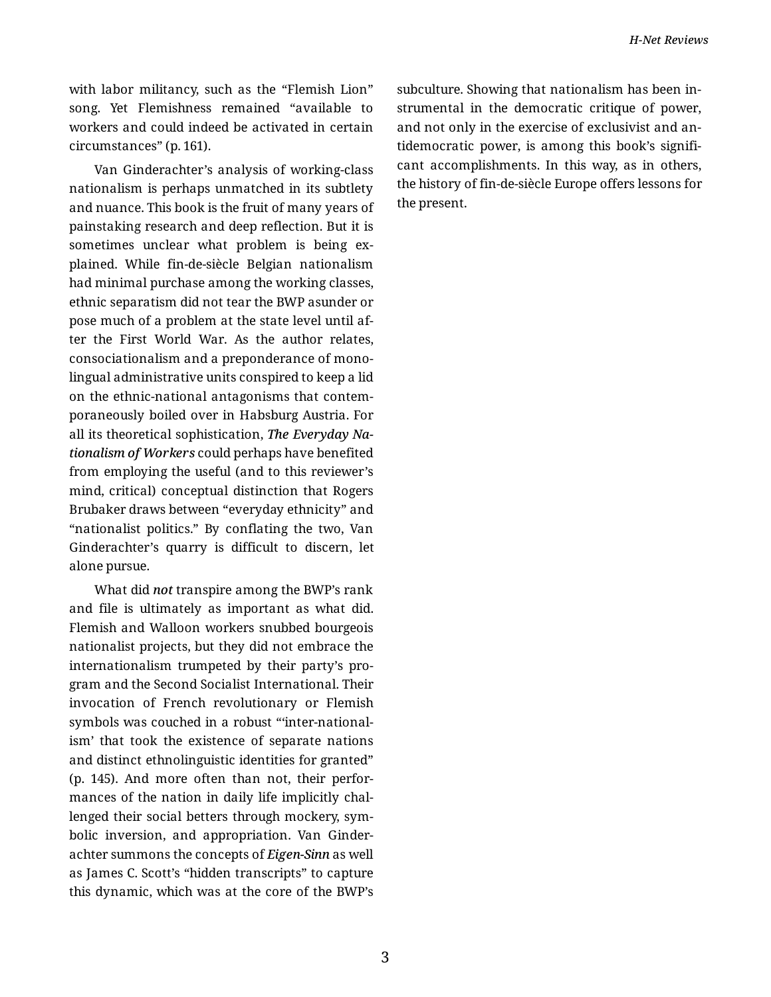with labor militancy, such as the "Flemish Lion" song. Yet Flemishness remained "available to workers and could indeed be activated in certain circumstances" (p. 161).

Van Ginderachter's analysis of working-class nationalism is perhaps unmatched in its subtlety and nuance. This book is the fruit of many years of painstaking research and deep reflection. But it is sometimes unclear what problem is being explained. While fin-de-siècle Belgian nationalism had minimal purchase among the working classes, ethnic separatism did not tear the BWP asunder or pose much of a problem at the state level until af‐ ter the First World War. As the author relates, consociationalism and a preponderance of mono‐ lingual administrative units conspired to keep a lid on the ethnic-national antagonisms that contem‐ poraneously boiled over in Habsburg Austria. For all its theoretical sophistication, *The Everyday Na‐ tionalism of Workers* could perhaps have benefited from employing the useful (and to this reviewer's mind, critical) conceptual distinction that Rogers Brubaker draws between "everyday ethnicity" and "nationalist politics." By conflating the two, Van Ginderachter's quarry is difficult to discern, let alone pursue.

What did *not* transpire among the BWP's rank and file is ultimately as important as what did. Flemish and Walloon workers snubbed bourgeois nationalist projects, but they did not embrace the internationalism trumpeted by their party's pro‐ gram and the Second Socialist International. Their invocation of French revolutionary or Flemish symbols was couched in a robust "'inter-national‐ ism' that took the existence of separate nations and distinct ethnolinguistic identities for granted" (p. 145). And more often than not, their perfor‐ mances of the nation in daily life implicitly chal‐ lenged their social betters through mockery, sym‐ bolic inversion, and appropriation. Van Ginder‐ achter summons the concepts of *Eigen-Sinn* as well as James C. Scott's "hidden transcripts" to capture this dynamic, which was at the core of the BWP's subculture. Showing that nationalism has been in‐ strumental in the democratic critique of power, and not only in the exercise of exclusivist and an‐ tidemocratic power, is among this book's signifi‐ cant accomplishments. In this way, as in others, the history of fin-de-siècle Europe offers lessons for the present.